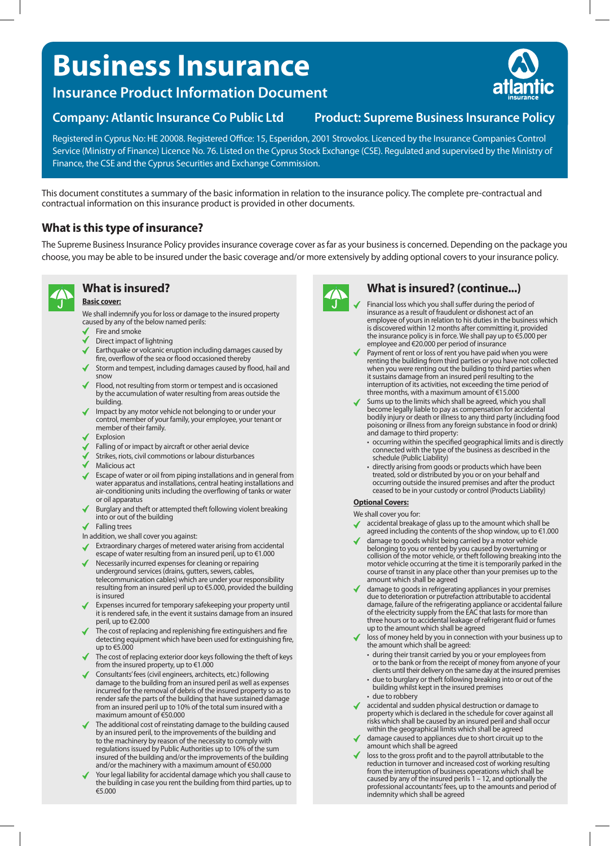# **Business Insurance**

**Insurance Product Information Document**

**Company: Atlantic Insurance Co Public Ltd Product: Supreme Business Insurance Policy**

Registered in Cyprus No: HE 20008. Registered Office: 15, Esperidon, 2001 Strovolos. Licenced by the Insurance Companies Control Service (Ministry of Finance) Licence No. 76. Listed on the Cyprus Stock Exchange (CSE). Regulated and supervised by the Ministry of Finance, the CSE and the Cyprus Securities and Exchange Commission.

This document constitutes a summary of the basic information in relation to the insurance policy. The complete pre-contractual and contractual information on this insurance product is provided in other documents.

### **What is this type of insurance?**

The Supreme Business Insurance Policy provides insurance coverage cover as far as your business is concerned. Depending on the package you choose, you may be able to be insured under the basic coverage and/or more extensively by adding optional covers to your insurance policy.



## **What is insured?**

**Basic cover:**

We shall indemnify you for loss or damage to the insured property caused by any of the below named perils:

- Fire and smoke
- Direct impact of lightning
- Earthquake or volcanic eruption including damages caused by
- fire, overflow of the sea or flood occasioned thereby
- Storm and tempest, including damages caused by flood, hail and snow
- Flood, not resulting from storm or tempest and is occasioned by the accumulation of water resulting from areas outside the building.
- Impact by any motor vehicle not belonging to or under your control, member of your family, your employee, your tenant or member of their family.
- Explosion
- Falling of or impact by aircraft or other aerial device
- Strikes, riots, civil commotions or labour disturbances
- Malicious act
- Escape of water or oil from piping installations and in general from water apparatus and installations, central heating installations and air-conditioning units including the overflowing of tanks or water or oil apparatus
- Burglary and theft or attempted theft following violent breaking into or out of the building
- Falling trees

In addition, we shall cover you against:

- Extraordinary charges of metered water arising from accidental
- escape of water resulting from an insured peril, up to €1.000
- Necessarily incurred expenses for cleaning or repairing underground services (drains, gutters, sewers, cables, telecommunication cables) which are under your responsibility resulting from an insured peril up to €5.000, provided the building is insured
- Expenses incurred for temporary safekeeping your property until it is rendered safe, in the event it sustains damage from an insured peril, up to €2.000
- The cost of replacing and replenishing fire extinguishers and fire detecting equipment which have been used for extinguishing fire, up to €5.000
- The cost of replacing exterior door keys following the theft of keys from the insured property, up to €1.000
- Consultants' fees (civil engineers, architects, etc.) following damage to the building from an insured peril as well as expenses incurred for the removal of debris of the insured property so as to render safe the parts of the building that have sustained damage from an insured peril up to 10% of the total sum insured with a maximum amount of €50.000
- The additional cost of reinstating damage to the building caused by an insured peril, to the improvements of the building and to the machinery by reason of the necessity to comply with regulations issued by Public Authorities up to 10% of the sum insured of the building and/or the improvements of the building and/or the machinery with a maximum amount of €50.000
- Your legal liability for accidental damage which you shall cause to the building in case you rent the building from third parties, up to €5.000



#### **What is insured? (continue...)**

- Financial loss which you shall suffer during the period of insurance as a result of fraudulent or dishonest act of an employee of yours in relation to his duties in the business which is discovered within 12 months after committing it, provided the insurance policy is in force. We shall pay up to €5.000 per employee and €20.000 per period of insurance
- Payment of rent or loss of rent you have paid when you were renting the building from third parties or you have not collected when you were renting out the building to third parties when it sustains damage from an insured peril resulting to the interruption of its activities, not exceeding the time period of three months, with a maximum amount of €15.000
- Sums up to the limits which shall be agreed, which you shall become legally liable to pay as compensation for accidental bodily injury or death or illness to any third party (including food poisoning or illness from any foreign substance in food or drink) and damage to third property:
	- occurring within the specified geographical limits and is directly connected with the type of the business as described in the schedule (Public Liability)
	- directly arising from goods or products which have been treated, sold or distributed by you or on your behalf and occurring outside the insured premises and after the product ceased to be in your custody or control (Products Liability)

#### **Optional Covers:**

We shall cover you for:

- accidental breakage of glass up to the amount which shall be agreed including the contents of the shop window, up to €1.000
- damage to goods whilst being carried by a motor vehicle belonging to you or rented by you caused by overturning or collision of the motor vehicle, or theft following breaking into the motor vehicle occurring at the time it is temporarily parked in the course of transit in any place other than your premises up to the amount which shall be agreed
- damage to goods in refrigerating appliances in your premises due to deterioration or putrefaction attributable to accidental damage, failure of the refrigerating appliance or accidental failure of the electricity supply from the EAC that lasts for more than three hours or to accidental leakage of refrigerant fluid or fumes up to the amount which shall be agreed
- loss of money held by you in connection with your business up to the amount which shall be agreed:
	- during their transit carried by you or your employees from or to the bank or from the receipt of money from anyone of your clients until their delivery on the same day at the insured premises
	- due to burglary or theft following breaking into or out of the building whilst kept in the insured premises
	- due to robbery
- ccidental and sudden physical destruction or damage to property which is declared in the schedule for cover against all risks which shall be caused by an insured peril and shall occur within the geographical limits which shall be agreed
- damage caused to appliances due to short circuit up to the amount which shall be agreed
- loss to the gross profit and to the payroll attributable to the reduction in turnover and increased cost of working resulting from the interruption of business operations which shall be caused by any of the insured perils 1 – 12, and optionally the professional accountants' fees, up to the amounts and period of indemnity which shall be agreed

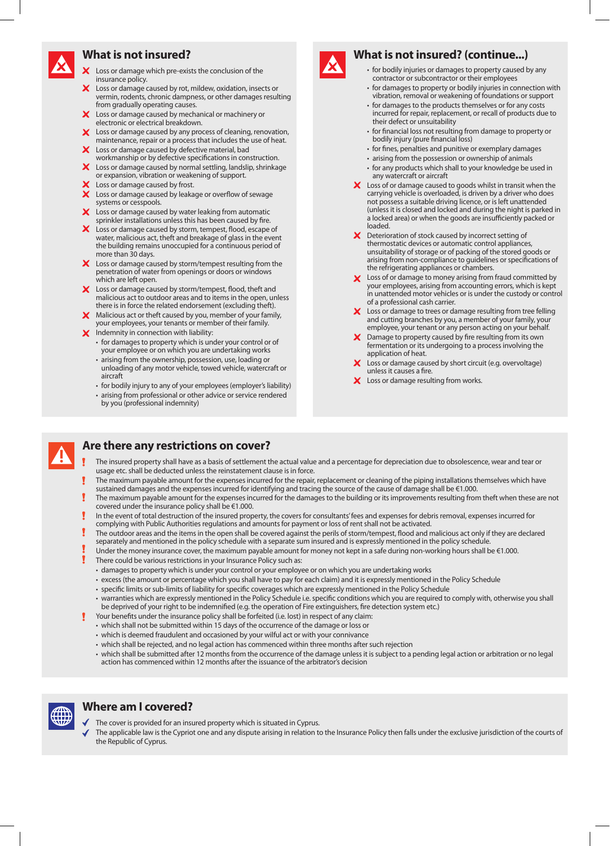#### **What is not insured?**

- X Loss or damage which pre-exists the conclusion of the insurance policy.
- X Loss or damage caused by rot, mildew, oxidation, insects or vermin, rodents, chronic dampness, or other damages resulting from gradually operating causes.
- X Loss or damage caused by mechanical or machinery or electronic or electrical breakdown.
- X Loss or damage caused by any process of cleaning, renovation, maintenance, repair or a process that includes the use of heat. X Loss or damage caused by defective material, bad
- workmanship or by defective specifications in construction. X Loss or damage caused by normal settling, landslip, shrinkage
- or expansion, vibration or weakening of support.
- $\mathsf{\times}\,$  Loss or damage caused by frost.
- $\boldsymbol{\mathsf{x}}$  . Loss or damage caused by leakage or overflow of sewage systems or cesspools.
- X Loss or damage caused by water leaking from automatic
- sprinkler installations unless this has been caused by fire. X Loss or damage caused by storm, tempest, flood, escape of water, malicious act, theft and breakage of glass in the event the building remains unoccupied for a continuous period of more than 30 days.
- $\times$  Loss or damage caused by storm/tempest resulting from the penetration of water from openings or doors or windows which are left open.
- X Loss or damage caused by storm/tempest, flood, theft and malicious act to outdoor areas and to items in the open, unless there is in force the related endorsement (excluding theft).
- X Malicious act or theft caused by you, member of your family, your employees, your tenants or member of their family.
- $\boldsymbol{\times}$  Indemnity in connection with liability:
	- for damages to property which is under your control or of your employee or on which you are undertaking works
		- arising from the ownership, possession, use, loading or unloading of any motor vehicle, towed vehicle, watercraft or aircraft
		- for bodily injury to any of your employees (employer's liability) • arising from professional or other advice or service rendered
		- by you (professional indemnity)



#### **What is not insured? (continue...)**

- for bodily injuries or damages to property caused by any contractor or subcontractor or their employees
- for damages to property or bodily injuries in connection with vibration, removal or weakening of foundations or support
- for damages to the products themselves or for any costs incurred for repair, replacement, or recall of products due to their defect or unsuitability
- for financial loss not resulting from damage to property or bodily injury (pure financial loss)
- for fines, penalties and punitive or exemplary damages
- arising from the possession or ownership of animals • for any products which shall to your knowledge be used in
- any watercraft or aircraft  $\boldsymbol{\times}$  Loss of or damage caused to goods whilst in transit when the
- carrying vehicle is overloaded, is driven by a driver who does not possess a suitable driving licence, or is left unattended (unless it is closed and locked and during the night is parked in a locked area) or when the goods are insufficiently packed or loaded.
- $\boldsymbol{\times}$  Deterioration of stock caused by incorrect setting of thermostatic devices or automatic control appliances, unsuitability of storage or of packing of the stored goods or arising from non-compliance to guidelines or specifications of the refrigerating appliances or chambers.
- X Loss of or damage to money arising from fraud committed by your employees, arising from accounting errors, which is kept in unattended motor vehicles or is under the custody or control of a professional cash carrier.
- $\times$  Loss or damage to trees or damage resulting from tree felling and cutting branches by you, a member of your family, your employee, your tenant or any person acting on your behalf.
- $\boldsymbol{\times}$  Damage to property caused by fire resulting from its own fermentation or its undergoing to a process involving the application of heat.
- Loss or damage caused by short circuit (e.g. overvoltage) unless it causes a fire.
- X Loss or damage resulting from works.



#### **Are there any restrictions on cover?**

- The insured property shall have as a basis of settlement the actual value and a percentage for depreciation due to obsolescence, wear and tear or usage etc. shall be deducted unless the reinstatement clause is in force.
- The maximum payable amount for the expenses incurred for the repair, replacement or cleaning of the piping installations themselves which have sustained damages and the expenses incurred for identifying and tracing the source of the cause of damage shall be €1.000.
- The maximum payable amount for the expenses incurred for the damages to the building or its improvements resulting from theft when these are not covered under the insurance policy shall be €1.000.
- In the event of total destruction of the insured property, the covers for consultants' fees and expenses for debris removal, expenses incurred for complying with Public Authorities regulations and amounts for payment or loss of rent shall not be activated.
- The outdoor areas and the items in the open shall be covered against the perils of storm/tempest, flood and malicious act only if they are declared separately and mentioned in the policy schedule with a separate sum insured and is expressly mentioned in the policy schedule.
- Under the money insurance cover, the maximum payable amount for money not kept in a safe during non-working hours shall be €1.000.
- There could be various restrictions in your Insurance Policy such as:
- damages to property which is under your control or your employee or on which you are undertaking works
- excess (the amount or percentage which you shall have to pay for each claim) and it is expressly mentioned in the Policy Schedule
- specific limits or sub-limits of liability for specific coverages which are expressly mentioned in the Policy Schedule
- warranties which are expressly mentioned in the Policy Schedule i.e. specific conditions which you are required to comply with, otherwise you shall be deprived of your right to be indemnified (e.g. the operation of Fire extinguishers, fire detection system etc.)
- Your benefits under the insurance policy shall be forfeited (i.e. lost) in respect of any claim:
- which shall not be submitted within 15 days of the occurrence of the damage or loss or
- which is deemed fraudulent and occasioned by your wilful act or with your connivance
- which shall be rejected, and no legal action has commenced within three months after such rejection
- which shall be submitted after 12 months from the occurrence of the damage unless it is subject to a pending legal action or arbitration or no legal action has commenced within 12 months after the issuance of the arbitrator's decision



#### **Where am I covered?**

- The cover is provided for an insured property which is situated in Cyprus.
- The applicable law is the Cypriot one and any dispute arising in relation to the Insurance Policy then falls under the exclusive jurisdiction of the courts of the Republic of Cyprus.